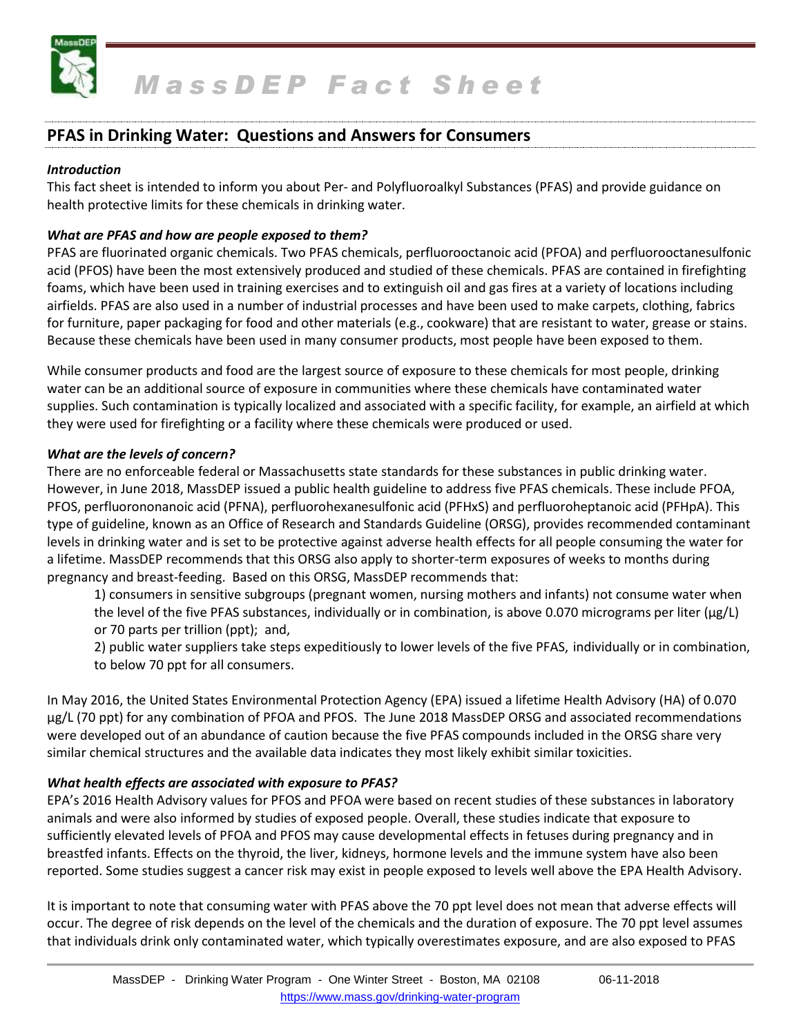

# **PFAS in Drinking Water: Questions and Answers for Consumers**

## *Introduction*

This fact sheet is intended to inform you about Per- and Polyfluoroalkyl Substances (PFAS) and provide guidance on health protective limits for these chemicals in drinking water.

## *What are PFAS and how are people exposed to them?*

PFAS are fluorinated organic chemicals. Two PFAS chemicals, perfluorooctanoic acid (PFOA) and perfluorooctanesulfonic acid (PFOS) have been the most extensively produced and studied of these chemicals. PFAS are contained in firefighting foams, which have been used in training exercises and to extinguish oil and gas fires at a variety of locations including airfields. PFAS are also used in a number of industrial processes and have been used to make carpets, clothing, fabrics for furniture, paper packaging for food and other materials (e.g., cookware) that are resistant to water, grease or stains. Because these chemicals have been used in many consumer products, most people have been exposed to them.

While consumer products and food are the largest source of exposure to these chemicals for most people, drinking water can be an additional source of exposure in communities where these chemicals have contaminated water supplies. Such contamination is typically localized and associated with a specific facility, for example, an airfield at which they were used for firefighting or a facility where these chemicals were produced or used.

#### *What are the levels of concern?*

There are no enforceable federal or Massachusetts state standards for these substances in public drinking water. However, in June 2018, MassDEP issued a public health guideline to address five PFAS chemicals. These include PFOA, PFOS, perfluorononanoic acid (PFNA), perfluorohexanesulfonic acid (PFHxS) and perfluoroheptanoic acid (PFHpA). This type of guideline, known as an Office of Research and Standards Guideline (ORSG), provides recommended contaminant levels in drinking water and is set to be protective against adverse health effects for all people consuming the water for a lifetime. MassDEP recommends that this ORSG also apply to shorter-term exposures of weeks to months during pregnancy and breast-feeding. Based on this ORSG, MassDEP recommends that:

1) consumers in sensitive subgroups (pregnant women, nursing mothers and infants) not consume water when the level of the five PFAS substances, individually or in combination, is above 0.070 micrograms per liter (μg/L) or 70 parts per trillion (ppt); and,

2) public water suppliers take steps expeditiously to lower levels of the five PFAS, individually or in combination, to below 70 ppt for all consumers.

In May 2016, the United States Environmental Protection Agency (EPA) issued a lifetime Health Advisory (HA) of 0.070 μg/L (70 ppt) for any combination of PFOA and PFOS. The June 2018 MassDEP ORSG and associated recommendations were developed out of an abundance of caution because the five PFAS compounds included in the ORSG share very similar chemical structures and the available data indicates they most likely exhibit similar toxicities.

# *What health effects are associated with exposure to PFAS?*

EPA's 2016 Health Advisory values for PFOS and PFOA were based on recent studies of these substances in laboratory animals and were also informed by studies of exposed people. Overall, these studies indicate that exposure to sufficiently elevated levels of PFOA and PFOS may cause developmental effects in fetuses during pregnancy and in breastfed infants. Effects on the thyroid, the liver, kidneys, hormone levels and the immune system have also been reported. Some studies suggest a cancer risk may exist in people exposed to levels well above the EPA Health Advisory.

It is important to note that consuming water with PFAS above the 70 ppt level does not mean that adverse effects will occur. The degree of risk depends on the level of the chemicals and the duration of exposure. The 70 ppt level assumes that individuals drink only contaminated water, which typically overestimates exposure, and are also exposed to PFAS